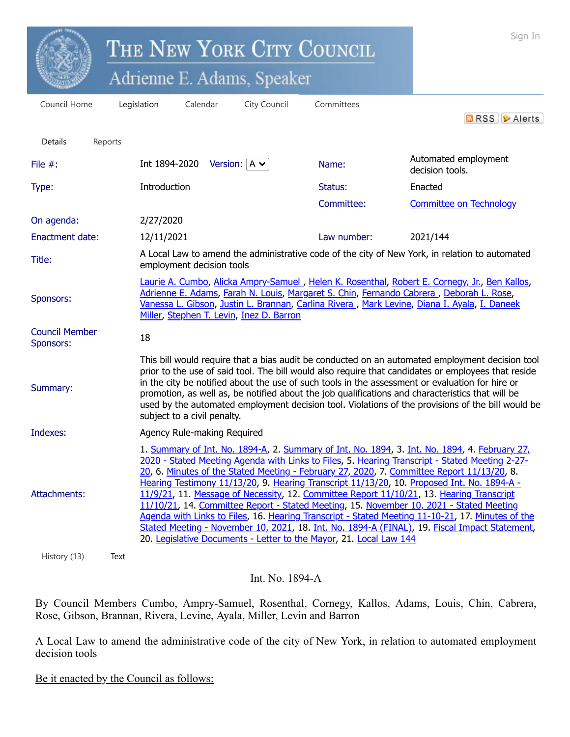|                                    |         |                                                                                                                                                                                                                                                                                                                                                                                                                                                                                                                                                                                                                                                                                                                                                                                                                                                               | THE NEW YORK CITY COUNCIL              | Sign In                                  |             |                                                                                                                                                                                                                                                                                          |
|------------------------------------|---------|---------------------------------------------------------------------------------------------------------------------------------------------------------------------------------------------------------------------------------------------------------------------------------------------------------------------------------------------------------------------------------------------------------------------------------------------------------------------------------------------------------------------------------------------------------------------------------------------------------------------------------------------------------------------------------------------------------------------------------------------------------------------------------------------------------------------------------------------------------------|----------------------------------------|------------------------------------------|-------------|------------------------------------------------------------------------------------------------------------------------------------------------------------------------------------------------------------------------------------------------------------------------------------------|
|                                    |         | Adrienne E. Adams, Speaker                                                                                                                                                                                                                                                                                                                                                                                                                                                                                                                                                                                                                                                                                                                                                                                                                                    |                                        |                                          |             |                                                                                                                                                                                                                                                                                          |
| Council Home                       |         | Legislation                                                                                                                                                                                                                                                                                                                                                                                                                                                                                                                                                                                                                                                                                                                                                                                                                                                   | Calendar                               | City Council                             | Committees  | <b>a</b> RSS <b> </b> Alerts                                                                                                                                                                                                                                                             |
| <b>Details</b>                     | Reports |                                                                                                                                                                                                                                                                                                                                                                                                                                                                                                                                                                                                                                                                                                                                                                                                                                                               |                                        |                                          |             |                                                                                                                                                                                                                                                                                          |
| File $#$ :                         |         |                                                                                                                                                                                                                                                                                                                                                                                                                                                                                                                                                                                                                                                                                                                                                                                                                                                               | Int 1894-2020 Version: $A \rightarrow$ |                                          | Name:       | Automated employment<br>decision tools.                                                                                                                                                                                                                                                  |
| Type:                              |         | Introduction                                                                                                                                                                                                                                                                                                                                                                                                                                                                                                                                                                                                                                                                                                                                                                                                                                                  |                                        |                                          | Status:     | Enacted                                                                                                                                                                                                                                                                                  |
|                                    |         |                                                                                                                                                                                                                                                                                                                                                                                                                                                                                                                                                                                                                                                                                                                                                                                                                                                               |                                        |                                          | Committee:  | <b>Committee on Technology</b>                                                                                                                                                                                                                                                           |
| On agenda:                         |         | 2/27/2020                                                                                                                                                                                                                                                                                                                                                                                                                                                                                                                                                                                                                                                                                                                                                                                                                                                     |                                        |                                          |             |                                                                                                                                                                                                                                                                                          |
| <b>Enactment date:</b>             |         | 12/11/2021                                                                                                                                                                                                                                                                                                                                                                                                                                                                                                                                                                                                                                                                                                                                                                                                                                                    |                                        |                                          | Law number: | 2021/144                                                                                                                                                                                                                                                                                 |
| Title:                             |         |                                                                                                                                                                                                                                                                                                                                                                                                                                                                                                                                                                                                                                                                                                                                                                                                                                                               | employment decision tools              |                                          |             | A Local Law to amend the administrative code of the city of New York, in relation to automated                                                                                                                                                                                           |
| Sponsors:                          |         |                                                                                                                                                                                                                                                                                                                                                                                                                                                                                                                                                                                                                                                                                                                                                                                                                                                               |                                        | Miller, Stephen T. Levin, Inez D. Barron |             | Laurie A. Cumbo, Alicka Ampry-Samuel, Helen K. Rosenthal, Robert E. Cornegy, Jr., Ben Kallos,<br>Adrienne E. Adams, Farah N. Louis, Margaret S. Chin, Fernando Cabrera, Deborah L. Rose,<br>Vanessa L. Gibson, Justin L. Brannan, Carlina Rivera, Mark Levine, Diana I. Ayala, I. Daneek |
| <b>Council Member</b><br>Sponsors: |         | 18                                                                                                                                                                                                                                                                                                                                                                                                                                                                                                                                                                                                                                                                                                                                                                                                                                                            |                                        |                                          |             |                                                                                                                                                                                                                                                                                          |
| Summary:                           |         | This bill would require that a bias audit be conducted on an automated employment decision tool<br>prior to the use of said tool. The bill would also require that candidates or employees that reside<br>in the city be notified about the use of such tools in the assessment or evaluation for hire or<br>promotion, as well as, be notified about the job qualifications and characteristics that will be<br>used by the automated employment decision tool. Violations of the provisions of the bill would be<br>subject to a civil penalty.                                                                                                                                                                                                                                                                                                             |                                        |                                          |             |                                                                                                                                                                                                                                                                                          |
| Indexes:                           |         | Agency Rule-making Required                                                                                                                                                                                                                                                                                                                                                                                                                                                                                                                                                                                                                                                                                                                                                                                                                                   |                                        |                                          |             |                                                                                                                                                                                                                                                                                          |
| Attachments:                       |         | 1. Summary of Int. No. 1894-A, 2. Summary of Int. No. 1894, 3. Int. No. 1894, 4. February 27,<br>2020 - Stated Meeting Agenda with Links to Files, 5. Hearing Transcript - Stated Meeting 2-27-<br>20, 6. Minutes of the Stated Meeting - February 27, 2020, 7. Committee Report 11/13/20, 8.<br>Hearing Testimony 11/13/20, 9. Hearing Transcript 11/13/20, 10. Proposed Int. No. 1894-A -<br>11/9/21, 11. Message of Necessity, 12. Committee Report 11/10/21, 13. Hearing Transcript<br>11/10/21, 14. Committee Report - Stated Meeting, 15. November 10, 2021 - Stated Meeting<br>Agenda with Links to Files, 16. Hearing Transcript - Stated Meeting 11-10-21, 17. Minutes of the<br>Stated Meeting - November 10, 2021, 18. Int. No. 1894-A (FINAL), 19. Fiscal Impact Statement,<br>20. Legislative Documents - Letter to the Mayor, 21. Local Law 144 |                                        |                                          |             |                                                                                                                                                                                                                                                                                          |
| History (13)                       | Text    |                                                                                                                                                                                                                                                                                                                                                                                                                                                                                                                                                                                                                                                                                                                                                                                                                                                               |                                        |                                          |             |                                                                                                                                                                                                                                                                                          |

Int. No. 1894-A

By Council Members Cumbo, Ampry-Samuel, Rosenthal, Cornegy, Kallos, Adams, Louis, Chin, Cabrera, Rose, Gibson, Brannan, Rivera, Levine, Ayala, Miller, Levin and Barron

A Local Law to amend the administrative code of the city of New York, in relation to automated employment decision tools

Be it enacted by the Council as follows: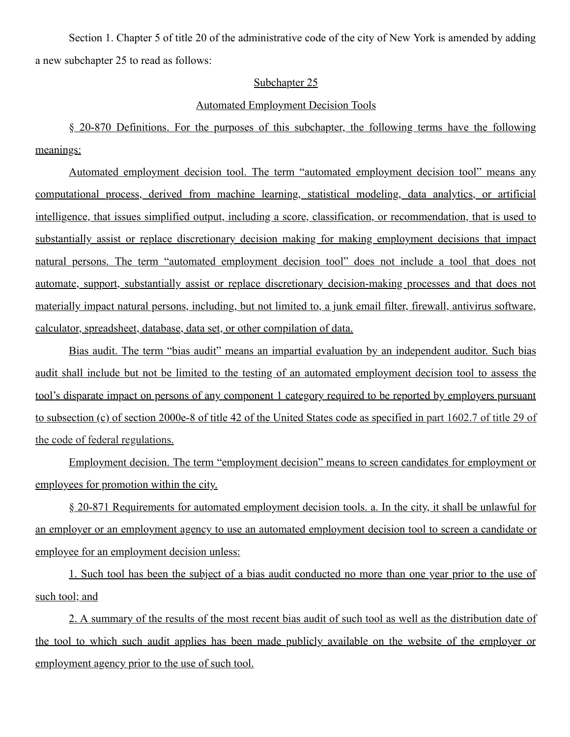Section 1. Chapter 5 of title 20 of the administrative code of the city of New York is amended by adding a new subchapter 25 to read as follows:

## Subchapter 25

## Automated Employment Decision Tools

§ 20-870 Definitions. For the purposes of this subchapter, the following terms have the following meanings:

Automated employment decision tool. The term "automated employment decision tool" means any computational process, derived from machine learning, statistical modeling, data analytics, or artificial intelligence, that issues simplified output, including a score, classification, or recommendation, that is used to substantially assist or replace discretionary decision making for making employment decisions that impact natural persons. The term "automated employment decision tool" does not include a tool that does not automate, support, substantially assist or replace discretionary decision-making processes and that does not materially impact natural persons, including, but not limited to, a junk email filter, firewall, antivirus software, calculator, spreadsheet, database, data set, or other compilation of data.

Bias audit. The term "bias audit" means an impartial evaluation by an independent auditor. Such bias audit shall include but not be limited to the testing of an automated employment decision tool to assess the tool's disparate impact on persons of any component 1 category required to be reported by employers pursuant to subsection (c) of section 2000e-8 of title 42 of the United States code as specified in part 1602.7 of title 29 of the code of federal regulations.

Employment decision. The term "employment decision" means to screen candidates for employment or employees for promotion within the city.

§ 20-871 Requirements for automated employment decision tools. a. In the city, it shall be unlawful for an employer or an employment agency to use an automated employment decision tool to screen a candidate or employee for an employment decision unless:

1. Such tool has been the subject of a bias audit conducted no more than one year prior to the use of such tool; and

2. A summary of the results of the most recent bias audit of such tool as well as the distribution date of the tool to which such audit applies has been made publicly available on the website of the employer or employment agency prior to the use of such tool.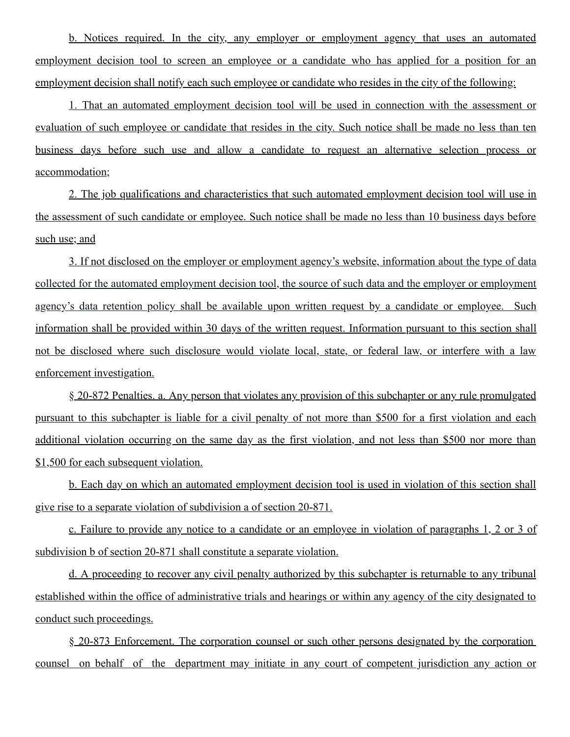b. Notices required. In the city, any employer or employment agency that uses an automated employment decision tool to screen an employee or a candidate who has applied for a position for an employment decision shall notify each such employee or candidate who resides in the city of the following:

1. That an automated employment decision tool will be used in connection with the assessment or evaluation of such employee or candidate that resides in the city. Such notice shall be made no less than ten business days before such use and allow a candidate to request an alternative selection process or accommodation;

2. The job qualifications and characteristics that such automated employment decision tool will use in the assessment of such candidate or employee. Such notice shall be made no less than 10 business days before such use; and

3. If not disclosed on the employer or employment agency's website, information about the type of data collected for the automated employment decision tool, the source of such data and the employer or employment agency's data retention policy shall be available upon written request by a candidate or employee. Such information shall be provided within 30 days of the written request. Information pursuant to this section shall not be disclosed where such disclosure would violate local, state, or federal law, or interfere with a law enforcement investigation.

§ 20-872 Penalties. a. Any person that violates any provision of this subchapter or any rule promulgated pursuant to this subchapter is liable for a civil penalty of not more than \$500 for a first violation and each additional violation occurring on the same day as the first violation, and not less than \$500 nor more than \$1,500 for each subsequent violation.

b. Each day on which an automated employment decision tool is used in violation of this section shall give rise to a separate violation of subdivision a of section 20-871.

c. Failure to provide any notice to a candidate or an employee in violation of paragraphs 1, 2 or 3 of subdivision b of section 20-871 shall constitute a separate violation.

d. A proceeding to recover any civil penalty authorized by this subchapter is returnable to any tribunal established within the office of administrative trials and hearings or within any agency of the city designated to conduct such proceedings.

§ 20-873 Enforcement. The corporation counsel or such other persons designated by the corporation counsel on behalf of the department may initiate in any court of competent jurisdiction any action or